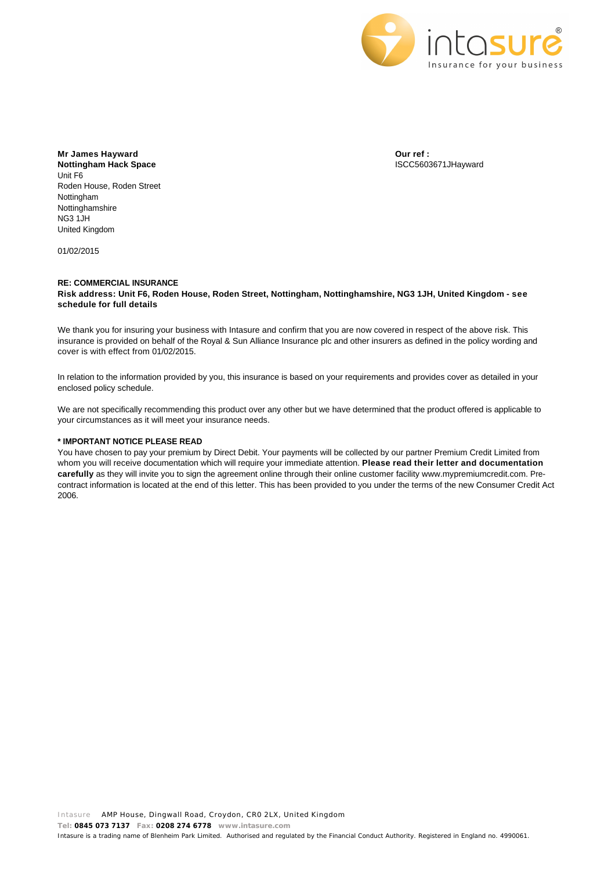

**Mr James Hayward Nottingham Hack Space** Unit F6 Roden House, Roden Street Nottingham Nottinghamshire NG3 1JH United Kingdom

01/02/2015

**Our ref :** ISCC5603671JHayward

## **RE: COMMERCIAL INSURANCE Risk address: Unit F6, Roden House, Roden Street, Nottingham, Nottinghamshire, NG3 1JH, United Kingdom - see schedule for full details**

We thank you for insuring your business with Intasure and confirm that you are now covered in respect of the above risk. This insurance is provided on behalf of the Royal & Sun Alliance Insurance plc and other insurers as defined in the policy wording and cover is with effect from 01/02/2015.

In relation to the information provided by you, this insurance is based on your requirements and provides cover as detailed in your enclosed policy schedule.

We are not specifically recommending this product over any other but we have determined that the product offered is applicable to your circumstances as it will meet your insurance needs.

## **\* IMPORTANT NOTICE PLEASE READ**

You have chosen to pay your premium by Direct Debit. Your payments will be collected by our partner Premium Credit Limited from whom you will receive documentation which will require your immediate attention. **Please read their letter and documentation carefully** as they will invite you to sign the agreement online through their online customer facility www.mypremiumcredit.com. Precontract information is located at the end of this letter. This has been provided to you under the terms of the new Consumer Credit Act 2006.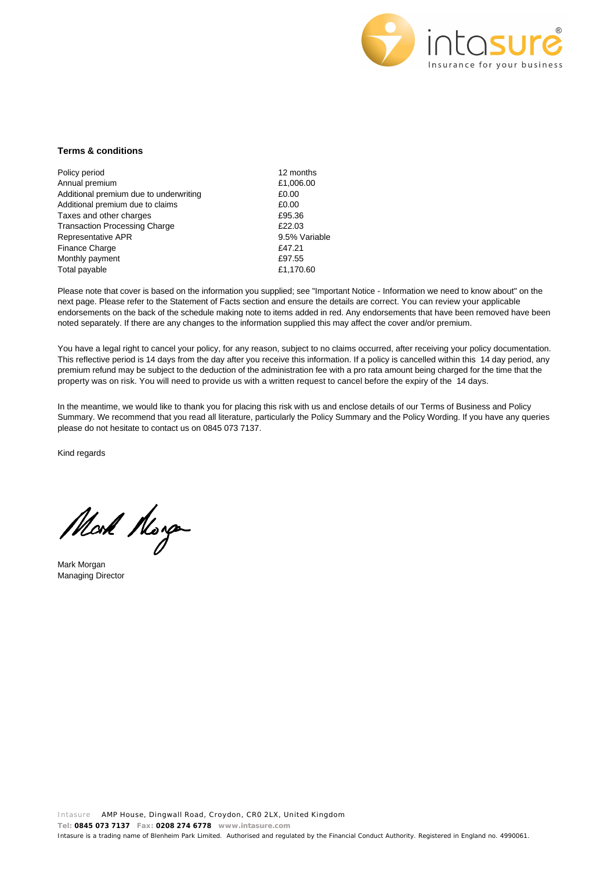

## **Terms & conditions**

| Policy period                          | 12 mon  |
|----------------------------------------|---------|
| Annual premium                         | £1,006. |
| Additional premium due to underwriting | £0.00   |
| Additional premium due to claims       | £0.00   |
| Taxes and other charges                | £95.36  |
| <b>Transaction Processing Charge</b>   | £22.03  |
| Representative APR                     | 9.5% V  |
| <b>Finance Charge</b>                  | £47.21  |
| Monthly payment                        | £97.55  |
| Total payable                          | £1.170. |

12 months £1,006.00 9.5% Variable £1,170.60

Please note that cover is based on the information you supplied; see "Important Notice - Information we need to know about" on the next page. Please refer to the Statement of Facts section and ensure the details are correct. You can review your applicable endorsements on the back of the schedule making note to items added in red. Any endorsements that have been removed have been noted separately. If there are any changes to the information supplied this may affect the cover and/or premium.

You have a legal right to cancel your policy, for any reason, subject to no claims occurred, after receiving your policy documentation. This reflective period is 14 days from the day after you receive this information. If a policy is cancelled within this 14 day period, any premium refund may be subject to the deduction of the administration fee with a pro rata amount being charged for the time that the property was on risk. You will need to provide us with a written request to cancel before the expiry of the 14 days.

In the meantime, we would like to thank you for placing this risk with us and enclose details of our Terms of Business and Policy Summary. We recommend that you read all literature, particularly the Policy Summary and the Policy Wording. If you have any queries please do not hesitate to contact us on 0845 073 7137.

Kind regards

Mod Norge

Mark Morgan Managing Director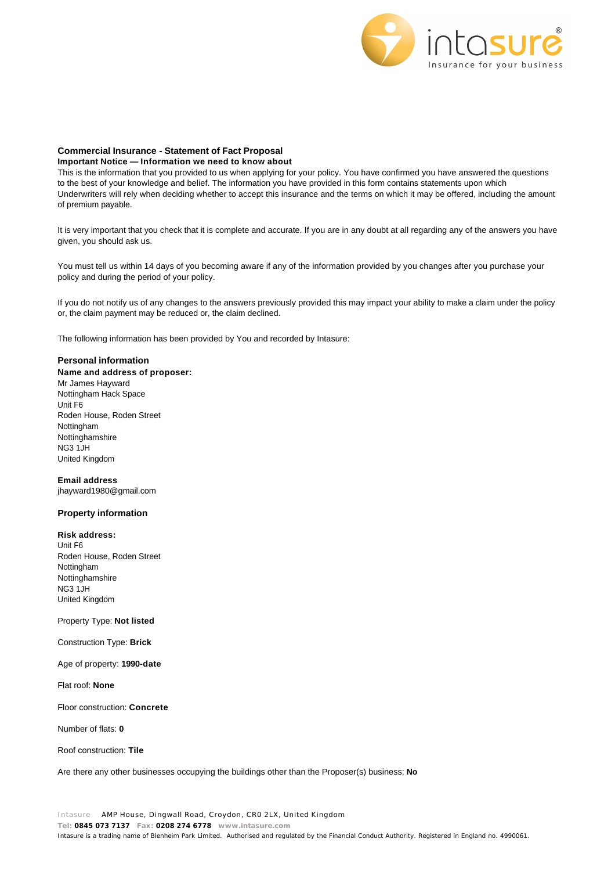

## **Commercial Insurance - Statement of Fact Proposal**

## **Important Notice — Information we need to know about**

This is the information that you provided to us when applying for your policy. You have confirmed you have answered the questions to the best of your knowledge and belief. The information you have provided in this form contains statements upon which Underwriters will rely when deciding whether to accept this insurance and the terms on which it may be offered, including the amount of premium payable.

It is very important that you check that it is complete and accurate. If you are in any doubt at all regarding any of the answers you have given, you should ask us.

You must tell us within 14 days of you becoming aware if any of the information provided by you changes after you purchase your policy and during the period of your policy.

If you do not notify us of any changes to the answers previously provided this may impact your ability to make a claim under the policy or, the claim payment may be reduced or, the claim declined.

The following information has been provided by You and recorded by Intasure:

## **Personal information**

**Name and address of proposer:**  Mr James Hayward Nottingham Hack Space Unit F6 Roden House, Roden Street Nottingham Nottinghamshire NG3 1JH United Kingdom

**Email address**  jhayward1980@gmail.com

## **Property information**

**Risk address:** Unit F6 Roden House, Roden Street Nottingham Nottinghamshire

NG3 1JH United Kingdom

# Property Type: **Not listed**

Construction Type: **Brick**

Age of property: **1990-date**

Flat roof: **None**

Floor construction: **Concrete**

Number of flats: **0**

Roof construction: **Tile**

Are there any other businesses occupying the buildings other than the Proposer(s) business: **No**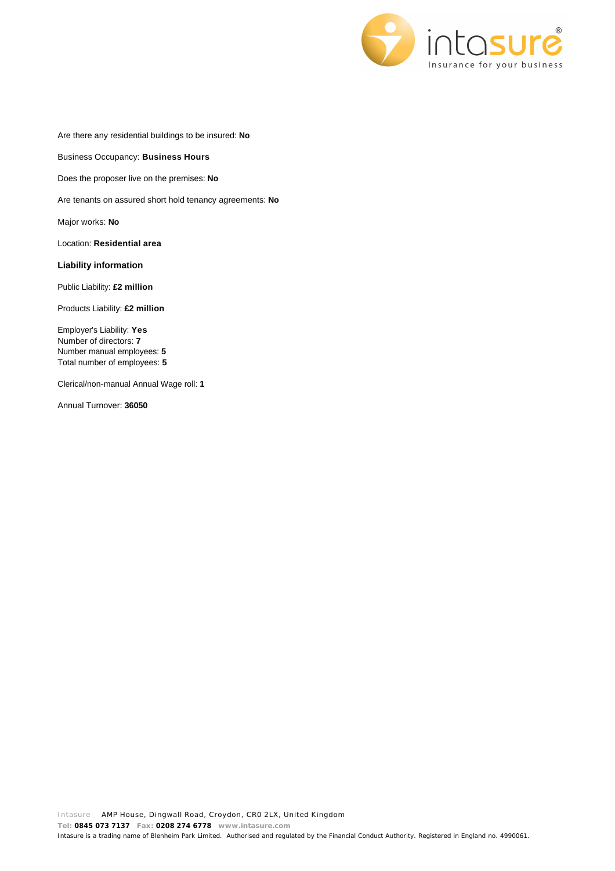

Are there any residential buildings to be insured: **No**

Business Occupancy: **Business Hours**

Does the proposer live on the premises: **No**

Are tenants on assured short hold tenancy agreements: **No**

Major works: **No**

Location: **Residential area**

# **Liability information**

Public Liability: **£2 million**

Products Liability: **£2 million**

Employer's Liability: **Yes** Number of directors: **7** Number manual employees: **5** Total number of employees: **5**

Clerical/non-manual Annual Wage roll: **1**

Annual Turnover: **36050**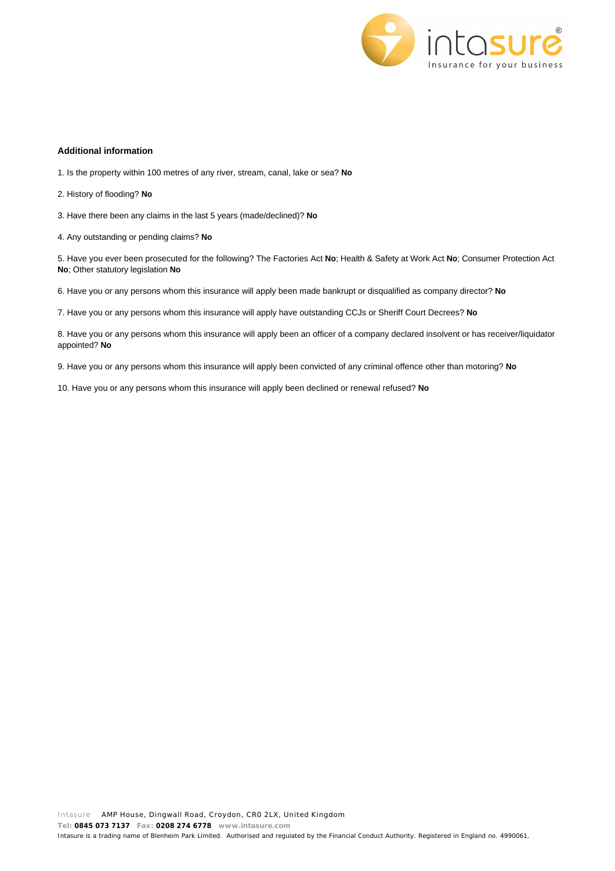

## **Additional information**

- 1. Is the property within 100 metres of any river, stream, canal, lake or sea? **No**
- 2. History of flooding? **No**
- 3. Have there been any claims in the last 5 years (made/declined)? **No**
- 4. Any outstanding or pending claims? **No**

5. Have you ever been prosecuted for the following? The Factories Act **No**; Health & Safety at Work Act **No**; Consumer Protection Act **No**; Other statutory legislation **No**

6. Have you or any persons whom this insurance will apply been made bankrupt or disqualified as company director? **No**

7. Have you or any persons whom this insurance will apply have outstanding CCJs or Sheriff Court Decrees? **No**

8. Have you or any persons whom this insurance will apply been an officer of a company declared insolvent or has receiver/liquidator appointed? **No**

9. Have you or any persons whom this insurance will apply been convicted of any criminal offence other than motoring? **No**

10. Have you or any persons whom this insurance will apply been declined or renewal refused? **No**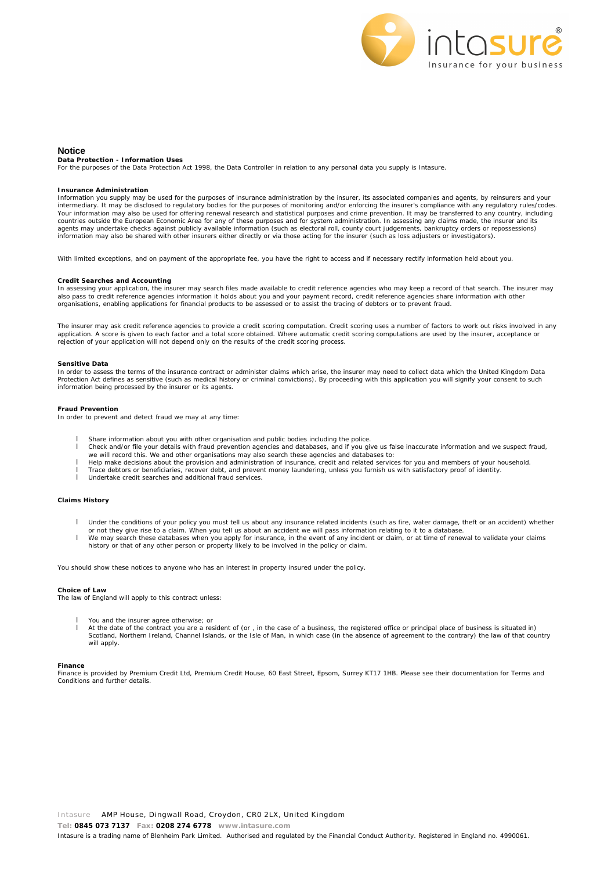

## **Notice**

**Data Protection - Information Uses**

For the purposes of the Data Protection Act 1998, the Data Controller in relation to any personal data you supply is Intasure.

#### **Insurance Administration**

Information you supply may be used for the purposes of insurance administration by the insurer, its associated companies and agents, by reinsurers and your intermediary. It may be disclosed to regulatory bodies for the purposes of monitoring and/or enforcing the insurer's compliance with any regulatory rules/codes. Your information may also be used for offering renewal research and statistical purposes and crime prevention. It may be transferred to any country, including<br>countries outside the European Economic Area for any of these p agents may undertake checks against publicly available information (such as electoral roll, county court judgements, bankruptcy orders or repossessions) information may also be shared with other insurers either directly or via those acting for the insurer (such as loss adjusters or investigators).

With limited exceptions, and on payment of the appropriate fee, you have the right to access and if necessary rectify information held about you.

## **Credit Searches and Accounting**

In assessing your application, the insurer may search files made available to credit reference agencies who may keep a record of that search. The insurer may also pass to credit reference agencies information it holds about you and your payment record, credit reference agencies share information with other organisations, enabling applications for financial products to be assessed or to assist the tracing of debtors or to prevent fraud.

The insurer may ask credit reference agencies to provide a credit scoring computation. Credit scoring uses a number of factors to work out risks involved in any<br>application. A score is given to each factor and a total scor rejection of your application will not depend only on the results of the credit scoring process.

#### **Sensitive Data**

In order to assess the terms of the insurance contract or administer claims which arise, the insurer may need to collect data which the United Kingdom Data Protection Act defines as sensitive (such as medical history or criminal convictions). By proceeding with this application you will signify your consent to such information being processed by the insurer or its agents.

#### **Fraud Prevention**

In order to prevent and detect fraud we may at any time:

- I Share information about you with other organisation and public bodies including the police.<br>Check and/or file your details with fraud prevention agencies and databases, and if you given
- l Check and/or file your details with fraud prevention agencies and databases, and if you give us false inaccurate information and we suspect fraud,
- we will record this. We and other organisations may also search these agencies and databases to:<br>I Help make decisions about the provision and administration of insurance, credit and related services for you and members of
- l Trace debtors or beneficiaries, recover debt, and prevent money laundering, unless you furnish us with satisfactory proof of identity.
- l Undertake credit searches and additional fraud services.

### **Claims History**

- l Under the conditions of your policy you must tell us about any insurance related incidents (such as fire, water damage, theft or an accident) whether
- or not they give rise to a claim. When you tell us about an accident we will pass information relating to it to a database.<br>I We may search these databases when you apply for insurance, in the event of any incident or clai
- history or that of any other person or property likely to be involved in the policy or claim.

You should show these notices to anyone who has an interest in property insured under the policy.

### **Choice of Law**

The law of England will apply to this contract unless:

- You and the insurer agree otherwise; or
- At the date of the contract you are a resident of (or, in the case of a business, the registered office or principal place of business is situated in)<br>Scotland, Northern Ireland, Channel Islands, or the Isle of Man, in whi will apply

## **Finance**

Finance is provided by Premium Credit Ltd, Premium Credit House, 60 East Street, Epsom, Surrey KT17 1HB. Please see their documentation for Terms and Conditions and further details.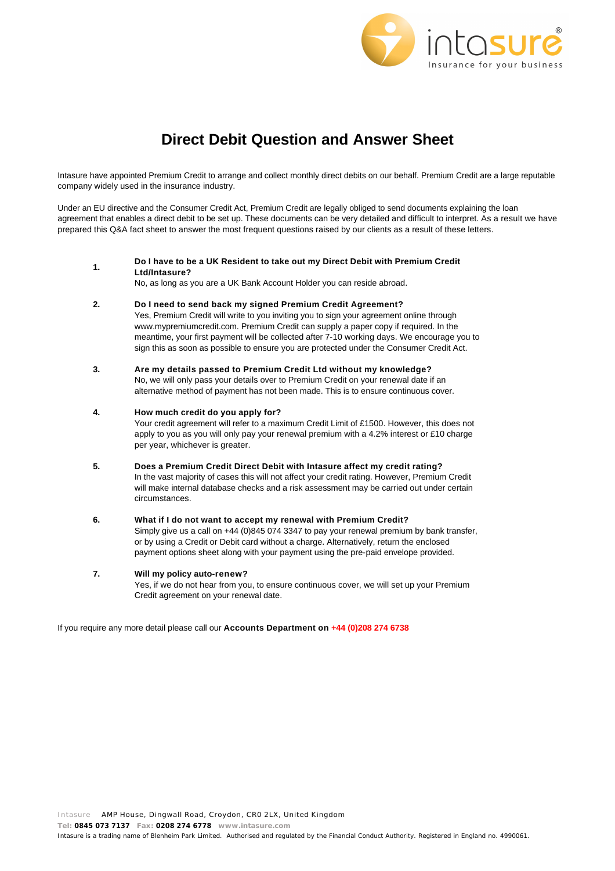

# **Direct Debit Question and Answer Sheet**

Intasure have appointed Premium Credit to arrange and collect monthly direct debits on our behalf. Premium Credit are a large reputable company widely used in the insurance industry.

Under an EU directive and the Consumer Credit Act, Premium Credit are legally obliged to send documents explaining the loan agreement that enables a direct debit to be set up. These documents can be very detailed and difficult to interpret. As a result we have prepared this Q&A fact sheet to answer the most frequent questions raised by our clients as a result of these letters.

**1. Do I have to be a UK Resident to take out my Direct Debit with Premium Credit Ltd/Intasure?**

No, as long as you are a UK Bank Account Holder you can reside abroad.

**2. Do I need to send back my signed Premium Credit Agreement?**

Yes, Premium Credit will write to you inviting you to sign your agreement online through www.mypremiumcredit.com. Premium Credit can supply a paper copy if required. In the meantime, your first payment will be collected after 7-10 working days. We encourage you to sign this as soon as possible to ensure you are protected under the Consumer Credit Act.

**3. Are my details passed to Premium Credit Ltd without my knowledge?** No, we will only pass your details over to Premium Credit on your renewal date if an alternative method of payment has not been made. This is to ensure continuous cover.

# **4. How much credit do you apply for?**

Your credit agreement will refer to a maximum Credit Limit of £1500. However, this does not apply to you as you will only pay your renewal premium with a 4.2% interest or £10 charge per year, whichever is greater.

**5. Does a Premium Credit Direct Debit with Intasure affect my credit rating?** In the vast majority of cases this will not affect your credit rating. However, Premium Credit

will make internal database checks and a risk assessment may be carried out under certain circumstances.

## **6. What if I do not want to accept my renewal with Premium Credit?**

Simply give us a call on +44 (0)845 074 3347 to pay your renewal premium by bank transfer, or by using a Credit or Debit card without a charge. Alternatively, return the enclosed payment options sheet along with your payment using the pre-paid envelope provided.

## **7. Will my policy auto-renew?**

Yes, if we do not hear from you, to ensure continuous cover, we will set up your Premium Credit agreement on your renewal date.

If you require any more detail please call our **Accounts Department on +44 (0)208 274 6738**